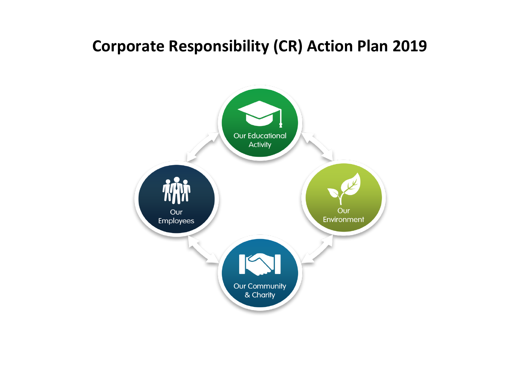## **Corporate Responsibility (CR) Action Plan 2019**

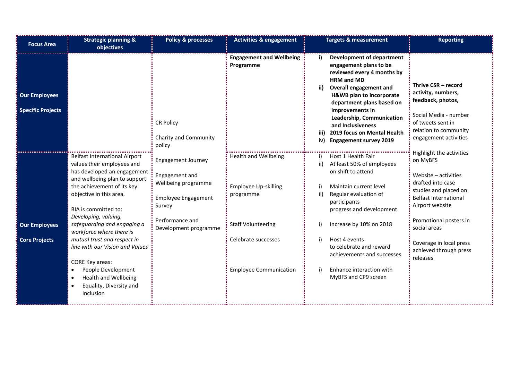| <b>Focus Area</b>                                | <b>Strategic planning &amp;</b><br>objectives                                                                                                                                                                                               | <b>Policy &amp; processes</b>                                                                                                 | <b>Activities &amp; engagement</b>                                                |                    | <b>Targets &amp; measurement</b>                                                                                                                                                                                                                                                                                                             | <b>Reporting</b>                                                                                                                                                                        |
|--------------------------------------------------|---------------------------------------------------------------------------------------------------------------------------------------------------------------------------------------------------------------------------------------------|-------------------------------------------------------------------------------------------------------------------------------|-----------------------------------------------------------------------------------|--------------------|----------------------------------------------------------------------------------------------------------------------------------------------------------------------------------------------------------------------------------------------------------------------------------------------------------------------------------------------|-----------------------------------------------------------------------------------------------------------------------------------------------------------------------------------------|
| <b>Our Employees</b><br><b>Specific Projects</b> |                                                                                                                                                                                                                                             | <b>CR Policy</b><br>Charity and Community<br>policy                                                                           | <b>Engagement and Wellbeing</b><br>Programme                                      | ii)<br>iii)<br>iv) | <b>Development of department</b><br>engagement plans to be<br>reviewed every 4 months by<br><b>HRM and MD</b><br><b>Overall engagement and</b><br>H&WB plan to incorporate<br>department plans based on<br>improvements in<br>Leadership, Communication<br>and Inclusiveness<br>2019 focus on Mental Health<br><b>Engagement survey 2019</b> | Thrive CSR - record<br>activity, numbers,<br>feedback, photos,<br>Social Media - number<br>of tweets sent in<br>relation to community<br>engagement activities                          |
|                                                  | <b>Belfast International Airport</b><br>values their employees and<br>has developed an engagement<br>and wellbeing plan to support<br>the achievement of its key<br>objective in this area.<br>BIA is committed to:<br>Developing, valuing, | <b>Engagement Journey</b><br>Engagement and<br>Wellbeing programme<br><b>Employee Engagement</b><br>Survey<br>Performance and | <b>Health and Wellbeing</b><br>Employee Up-skilling<br>programme                  | ii)<br>ii)         | Host 1 Health Fair<br>At least 50% of employees<br>on shift to attend<br>Maintain current level<br>Regular evaluation of<br>participants<br>progress and development                                                                                                                                                                         | Highlight the activities<br>on MyBFS<br>Website - activities<br>drafted into case<br>studies and placed on<br><b>Belfast International</b><br>Airport website<br>Promotional posters in |
| <b>Our Employees</b><br><b>Core Projects</b>     | safeguarding and engaging a<br>workforce where there is<br>mutual trust and respect in<br>line with our Vision and Values<br><b>CORE Key areas:</b><br>People Development                                                                   | Development programme                                                                                                         | <b>Staff Volunteering</b><br>Celebrate successes<br><b>Employee Communication</b> |                    | Increase by 10% on 2018<br>Host 4 events<br>to celebrate and reward<br>achievements and successes<br>Enhance interaction with                                                                                                                                                                                                                | social areas<br>Coverage in local press<br>achieved through press<br>releases                                                                                                           |
|                                                  | <b>Health and Wellbeing</b><br>Equality, Diversity and<br>Inclusion                                                                                                                                                                         |                                                                                                                               |                                                                                   |                    | MyBFS and CP9 screen                                                                                                                                                                                                                                                                                                                         |                                                                                                                                                                                         |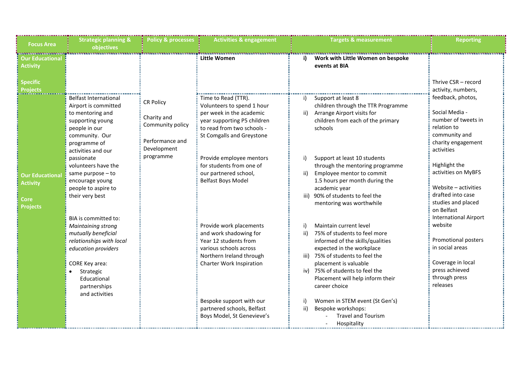| <b>Focus Area</b>                                                           | <b>Strategic planning &amp;</b><br>objectives                                                                                                                                             | <b>Policy &amp; processes</b>                                          | <b>Activities &amp; engagement</b>                                                                                                                                      | Targets & measurement                                                                                                                                                                                                                                                               | <b>Reporting</b>                                                                                                                                              |
|-----------------------------------------------------------------------------|-------------------------------------------------------------------------------------------------------------------------------------------------------------------------------------------|------------------------------------------------------------------------|-------------------------------------------------------------------------------------------------------------------------------------------------------------------------|-------------------------------------------------------------------------------------------------------------------------------------------------------------------------------------------------------------------------------------------------------------------------------------|---------------------------------------------------------------------------------------------------------------------------------------------------------------|
| Our Educational<br><b>Activity</b>                                          |                                                                                                                                                                                           |                                                                        | Little Women                                                                                                                                                            | Work with Little Women on bespoke<br>i)<br>events at BIA                                                                                                                                                                                                                            |                                                                                                                                                               |
| <b>Specific</b><br>Projects<br>------------                                 | <b>Belfast International</b><br>Airport is committed<br>to mentoring and<br>supporting young<br>people in our<br>community. Our<br>programme of                                           | <b>CR Policy</b><br>Charity and<br>Community policy<br>Performance and | Time to Read (TTR).<br>Volunteers to spend 1 hour<br>per week in the academic<br>year supporting P5 children<br>to read from two schools -<br>St Comgalls and Greystone | Support at least 8<br>i)<br>children through the TTR Programme<br>Arrange Airport visits for<br>ii)<br>children from each of the primary<br>schools                                                                                                                                 | Thrive CSR - record<br>activity, numbers,<br>feedback, photos,<br>Social Media -<br>number of tweets in<br>relation to<br>community and<br>charity engagement |
| <b>Our Educational</b><br><b>Activity</b><br><b>Core</b><br><b>Projects</b> | activities and our<br>passionate<br>volunteers have the<br>same purpose - to<br>encourage young<br>people to aspire to<br>their very best                                                 | Development<br>programme                                               | Provide employee mentors<br>for students from one of<br>our partnered school,<br><b>Belfast Boys Model</b>                                                              | Support at least 10 students<br>through the mentoring programme<br>Employee mentor to commit<br>1.5 hours per month during the<br>academic year<br>iii) 90% of students to feel the<br>mentoring was worthwhile                                                                     | activities<br>Highlight the<br>activities on MyBFS<br>Website - activities<br>drafted into case<br>studies and placed<br>on Belfast                           |
|                                                                             | BIA is committed to:<br><b>Maintaining strong</b><br>mutually beneficial<br>relationships with local<br>education providers<br>CORE Key area:<br>Strategic<br>Educational<br>partnerships |                                                                        | Provide work placements<br>and work shadowing for<br>Year 12 students from<br>various schools across<br>Northern Ireland through<br>Charter Work Inspiration            | Maintain current level<br>75% of students to feel more<br>ii)<br>informed of the skills/qualities<br>expected in the workplace<br>iii) 75% of students to feel the<br>placement is valuable<br>iv) 75% of students to feel the<br>Placement will help inform their<br>career choice | <b>International Airport</b><br>website<br>Promotional posters<br>in social areas<br>Coverage in local<br>press achieved<br>through press<br>releases         |
|                                                                             | and activities                                                                                                                                                                            |                                                                        | Bespoke support with our<br>partnered schools, Belfast<br>Boys Model, St Genevieve's                                                                                    | Women in STEM event (St Gen's)<br>Bespoke workshops:<br>ii)<br><b>Travel and Tourism</b><br>Hospitality                                                                                                                                                                             |                                                                                                                                                               |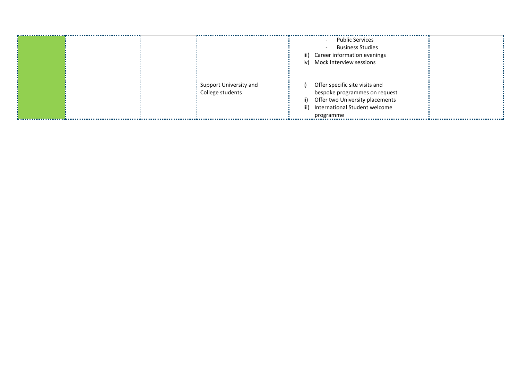|                        | Public Services<br>$\sim$                           |  |
|------------------------|-----------------------------------------------------|--|
|                        | <b>Business Studies</b><br>$\overline{\phantom{a}}$ |  |
|                        | iii) Career information evenings                    |  |
|                        | iv) Mock Interview sessions                         |  |
|                        |                                                     |  |
|                        |                                                     |  |
| Support University and | Offer specific site visits and<br>i)                |  |
| College students       | bespoke programmes on request                       |  |
|                        | Offer two University placements<br>ii)              |  |
|                        | International Student welcome<br>iii)               |  |
|                        | programme                                           |  |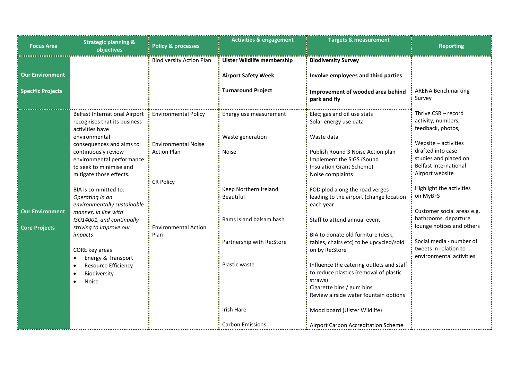| <b>Focus Area</b>                                  | <b>Strategic planning &amp;</b><br>objectives                                                                                                       | <b>Policy &amp; processes</b>                                        | <b>Activities &amp; engagement</b>                                                           | <b>Targets &amp; measurement</b>                                                                                                                                    | <b>Reporting</b>                                                                                                      |
|----------------------------------------------------|-----------------------------------------------------------------------------------------------------------------------------------------------------|----------------------------------------------------------------------|----------------------------------------------------------------------------------------------|---------------------------------------------------------------------------------------------------------------------------------------------------------------------|-----------------------------------------------------------------------------------------------------------------------|
| <b>Our Environment</b><br><b>Specific Projects</b> |                                                                                                                                                     | <b>Biodiversity Action Plan</b>                                      | <b>Ulster Wildlife membership</b><br><b>Airport Safety Week</b><br><b>Turnaround Project</b> | <b>Biodiversity Survey</b><br>Involve employees and third parties                                                                                                   | <b>ARENA Benchmarking</b>                                                                                             |
|                                                    |                                                                                                                                                     |                                                                      |                                                                                              | Improvement of wooded area behind<br>park and fly                                                                                                                   | Survey                                                                                                                |
|                                                    | <b>Belfast International Airport</b><br>recognises that its business<br>activities have                                                             | <b>Environmental Policy</b>                                          | Energy use measurement                                                                       | Elec; gas and oil use stats<br>Solar energy use data                                                                                                                | Thrive CSR - record<br>activity, numbers,<br>feedback, photos,                                                        |
|                                                    | environmental<br>consequences and aims to<br>continuously review<br>environmental performance<br>to seek to minimise and<br>mitigate those effects. | <b>Environmental Noise</b><br><b>Action Plan</b><br><b>CR Policy</b> | Waste generation<br><b>Noise</b>                                                             | Waste data<br>Publish Round 3 Noise Action plan<br>Implement the SIGS (Sound<br>Insulation Grant Scheme)<br>Noise complaints                                        | Website - activities<br>drafted into case<br>studies and placed on<br><b>Belfast International</b><br>Airport website |
| <b>Our Environment</b>                             | BIA is committed to:<br>Operating in an<br>environmentally sustainable<br>manner, in line with                                                      |                                                                      | Keep Northern Ireland<br><b>Beautiful</b>                                                    | FOD plod along the road verges<br>leading to the airport (change location<br>each year                                                                              | Highlight the activities<br>on MyBFS<br>Customer social areas e.g.                                                    |
| <b>Core Projects</b>                               | ISO14001, and continually<br>striving to improve our                                                                                                | <b>Environmental Action</b>                                          | Rams Island balsam bash                                                                      | Staff to attend annual event                                                                                                                                        | bathrooms, departure<br>lounge notices and others                                                                     |
|                                                    | impacts<br>CORE key areas<br>Energy & Transport                                                                                                     | Plan                                                                 | Partnership with Re:Store                                                                    | BIA to donate old furniture (desk,<br>tables, chairs etc) to be upcycled/sold<br>on by Re:Store                                                                     | Social media - number of<br>tweets in relation to<br>environmental activities                                         |
|                                                    | <b>Resource Efficiency</b><br>Biodiversity<br><b>Noise</b>                                                                                          |                                                                      | Plastic waste                                                                                | Influence the catering outlets and staff<br>to reduce plastics (removal of plastic<br>straws)<br>Cigarette bins / gum bins<br>Review airside water fountain options |                                                                                                                       |
|                                                    |                                                                                                                                                     |                                                                      | Irish Hare                                                                                   | Mood board (Ulster Wildlife)                                                                                                                                        |                                                                                                                       |
|                                                    |                                                                                                                                                     |                                                                      | <b>Carbon Emissions</b>                                                                      | Airport Carbon Accreditation Scheme                                                                                                                                 |                                                                                                                       |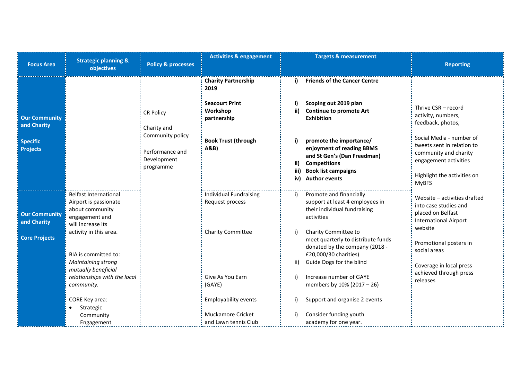| <b>Focus Area</b>                                           | <b>Strategic planning &amp;</b><br>objectives                                                                                                                                                                                                  | <b>Policy &amp; processes</b>      | <b>Activities &amp; engagement</b>                                                                                                                                                     | <b>Targets &amp; measurement</b>                                                                                                                                                                                                                                                                            | <b>Reporting</b>                                                                                                                                                                                                                     |
|-------------------------------------------------------------|------------------------------------------------------------------------------------------------------------------------------------------------------------------------------------------------------------------------------------------------|------------------------------------|----------------------------------------------------------------------------------------------------------------------------------------------------------------------------------------|-------------------------------------------------------------------------------------------------------------------------------------------------------------------------------------------------------------------------------------------------------------------------------------------------------------|--------------------------------------------------------------------------------------------------------------------------------------------------------------------------------------------------------------------------------------|
|                                                             |                                                                                                                                                                                                                                                |                                    | <b>Charity Partnership</b><br>2019                                                                                                                                                     | <b>Friends of the Cancer Centre</b><br>i)                                                                                                                                                                                                                                                                   |                                                                                                                                                                                                                                      |
| <b>Our Community</b><br>and Charity                         |                                                                                                                                                                                                                                                | <b>CR Policy</b><br>Charity and    | <b>Seacourt Print</b><br>Workshop<br>partnership                                                                                                                                       | Scoping out 2019 plan<br><b>Continue to promote Art</b><br>ii)<br><b>Exhibition</b>                                                                                                                                                                                                                         | Thrive CSR - record<br>activity, numbers,<br>feedback, photos,                                                                                                                                                                       |
| <b>Specific</b><br><b>Projects</b>                          | Community policy<br>Performance and<br>Development<br>programme                                                                                                                                                                                | <b>Book Trust (through</b><br>A&B) | promote the importance/<br>enjoyment of reading BBMS<br>and St Gen's (Dan Freedman)<br><b>Competitions</b><br>ii)<br><b>Book list campaigns</b><br>iii)<br><b>Author events</b><br>iv) | Social Media - number of<br>tweets sent in relation to<br>community and charity<br>engagement activities<br>Highlight the activities on                                                                                                                                                                     |                                                                                                                                                                                                                                      |
| <b>Our Community</b><br>and Charity<br><b>Core Projects</b> | <b>Belfast International</b><br>Airport is passionate<br>about community<br>engagement and<br>will increase its<br>activity in this area.<br>BIA is committed to:<br>Maintaining strong<br>mutually beneficial<br>relationships with the local |                                    | <b>Individual Fundraising</b><br>Request process<br>Charity Committee<br>Give As You Earn                                                                                              | Promote and financially<br>i)<br>support at least 4 employees in<br>their individual fundraising<br>activities<br>Charity Committee to<br>i)<br>meet quarterly to distribute funds<br>donated by the company (2018 -<br>£20,000/30 charities)<br>Guide Dogs for the blind<br>ii)<br>Increase number of GAYE | <b>MyBFS</b><br>Website - activities drafted<br>into case studies and<br>placed on Belfast<br><b>International Airport</b><br>website<br>Promotional posters in<br>social areas<br>Coverage in local press<br>achieved through press |
|                                                             | community.<br>CORE Key area:<br>Strategic<br>Community<br>Engagement                                                                                                                                                                           |                                    | (GAYE)<br><b>Employability events</b><br>Muckamore Cricket<br>and Lawn tennis Club                                                                                                     | members by 10% (2017 - 26)<br>Support and organise 2 events<br>i)<br>Consider funding youth<br>academy for one year.                                                                                                                                                                                        | releases                                                                                                                                                                                                                             |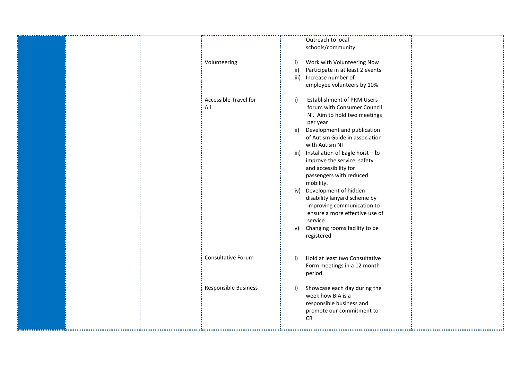| Volunteering                 | Outreach to local<br>schools/community<br>Work with Volunteering Now<br>i)<br>Participate in at least 2 events<br>ii)<br>iii)<br>Increase number of<br>employee volunteers by 10%                                                                                                                                                                                                                                                                                                                                                                            |
|------------------------------|--------------------------------------------------------------------------------------------------------------------------------------------------------------------------------------------------------------------------------------------------------------------------------------------------------------------------------------------------------------------------------------------------------------------------------------------------------------------------------------------------------------------------------------------------------------|
| Accessible Travel for<br>All | <b>Establishment of PRM Users</b><br>$\mathsf{i}$<br>forum with Consumer Council<br>NI. Aim to hold two meetings<br>per year<br>Development and publication<br>ii)<br>of Autism Guide in association<br>with Autism NI<br>iii) Installation of Eagle hoist - to<br>improve the service, safety<br>and accessibility for<br>passengers with reduced<br>mobility.<br>iv) Development of hidden<br>disability lanyard scheme by<br>improving communication to<br>ensure a more effective use of<br>service<br>Changing rooms facility to be<br>v)<br>registered |
| Consultative Forum           | Hold at least two Consultative<br>i)<br>Form meetings in a 12 month<br>period.                                                                                                                                                                                                                                                                                                                                                                                                                                                                               |
| Responsible Business         | Showcase each day during the<br>i)<br>week how BIA is a<br>responsible business and<br>promote our commitment to<br><b>CR</b>                                                                                                                                                                                                                                                                                                                                                                                                                                |